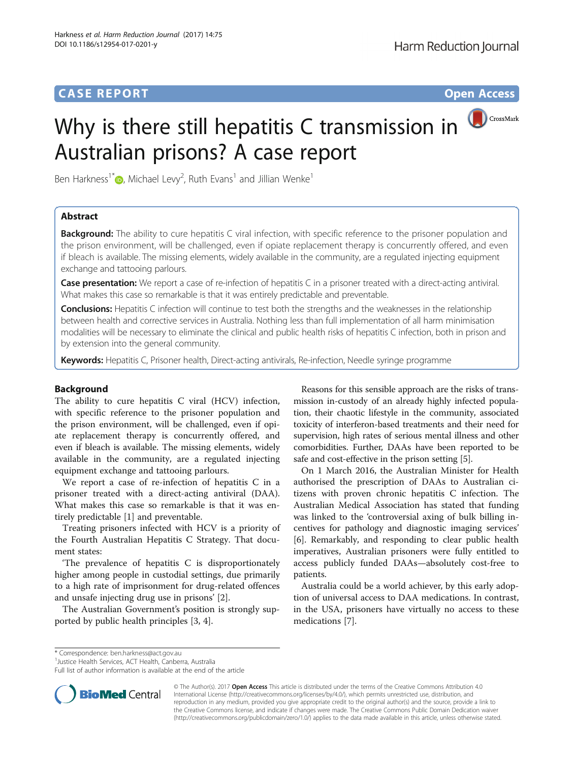# **CASE REPORT CASE REPORT CASE REPORT**

# CrossMark Why is there still hepatitis C transmission in Australian prisons? A case report

Ben Harkness<sup>1[\\*](http://orcid.org/0000-0001-6709-4636)</sup> $\bullet$ , Michael Levy<sup>2</sup>, Ruth Evans<sup>1</sup> and Jillian Wenke<sup>1</sup>

# Abstract

**Background:** The ability to cure hepatitis C viral infection, with specific reference to the prisoner population and the prison environment, will be challenged, even if opiate replacement therapy is concurrently offered, and even if bleach is available. The missing elements, widely available in the community, are a regulated injecting equipment exchange and tattooing parlours.

Case presentation: We report a case of re-infection of hepatitis C in a prisoner treated with a direct-acting antiviral. What makes this case so remarkable is that it was entirely predictable and preventable.

**Conclusions:** Hepatitis C infection will continue to test both the strengths and the weaknesses in the relationship between health and corrective services in Australia. Nothing less than full implementation of all harm minimisation modalities will be necessary to eliminate the clinical and public health risks of hepatitis C infection, both in prison and by extension into the general community.

Keywords: Hepatitis C, Prisoner health, Direct-acting antivirals, Re-infection, Needle syringe programme

# Background

The ability to cure hepatitis C viral (HCV) infection, with specific reference to the prisoner population and the prison environment, will be challenged, even if opiate replacement therapy is concurrently offered, and even if bleach is available. The missing elements, widely available in the community, are a regulated injecting equipment exchange and tattooing parlours.

We report a case of re-infection of hepatitis C in a prisoner treated with a direct-acting antiviral (DAA). What makes this case so remarkable is that it was entirely predictable [[1\]](#page-2-0) and preventable.

Treating prisoners infected with HCV is a priority of the Fourth Australian Hepatitis C Strategy. That document states:

'The prevalence of hepatitis C is disproportionately higher among people in custodial settings, due primarily to a high rate of imprisonment for drug-related offences and unsafe injecting drug use in prisons' [[2\]](#page-2-0).

The Australian Government's position is strongly supported by public health principles [[3, 4\]](#page-2-0).

Reasons for this sensible approach are the risks of transmission in-custody of an already highly infected population, their chaotic lifestyle in the community, associated toxicity of interferon-based treatments and their need for supervision, high rates of serious mental illness and other comorbidities. Further, DAAs have been reported to be safe and cost-effective in the prison setting [[5](#page-2-0)].

On 1 March 2016, the Australian Minister for Health authorised the prescription of DAAs to Australian citizens with proven chronic hepatitis C infection. The Australian Medical Association has stated that funding was linked to the 'controversial axing of bulk billing incentives for pathology and diagnostic imaging services' [[6\]](#page-2-0). Remarkably, and responding to clear public health imperatives, Australian prisoners were fully entitled to access publicly funded DAAs—absolutely cost-free to patients.

Australia could be a world achiever, by this early adoption of universal access to DAA medications. In contrast, in the USA, prisoners have virtually no access to these medications [[7\]](#page-2-0).

\* Correspondence: [ben.harkness@act.gov.au](mailto:ben.harkness@act.gov.au) <sup>1</sup>

<sup>1</sup> Justice Health Services, ACT Health, Canberra, Australia

Full list of author information is available at the end of the article



© The Author(s). 2017 **Open Access** This article is distributed under the terms of the Creative Commons Attribution 4.0 International License [\(http://creativecommons.org/licenses/by/4.0/](http://creativecommons.org/licenses/by/4.0/)), which permits unrestricted use, distribution, and reproduction in any medium, provided you give appropriate credit to the original author(s) and the source, provide a link to the Creative Commons license, and indicate if changes were made. The Creative Commons Public Domain Dedication waiver [\(http://creativecommons.org/publicdomain/zero/1.0/](http://creativecommons.org/publicdomain/zero/1.0/)) applies to the data made available in this article, unless otherwise stated.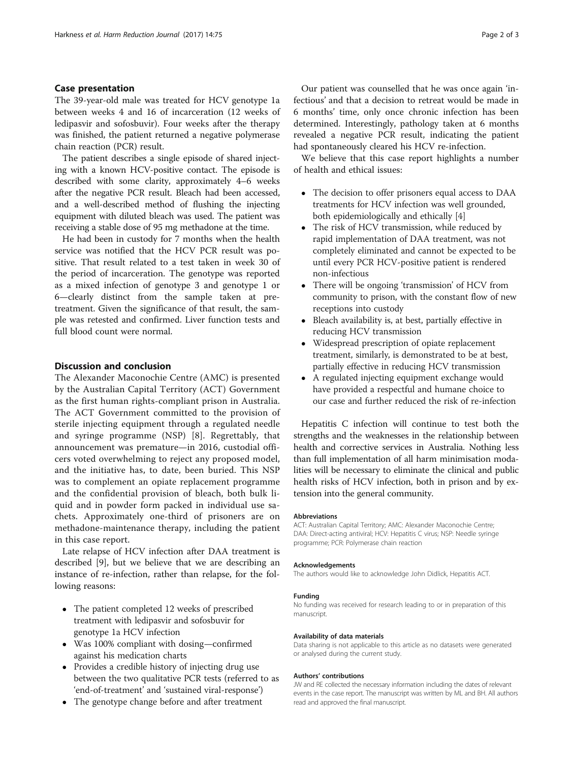# Case presentation

The 39-year-old male was treated for HCV genotype 1a between weeks 4 and 16 of incarceration (12 weeks of ledipasvir and sofosbuvir). Four weeks after the therapy was finished, the patient returned a negative polymerase chain reaction (PCR) result.

The patient describes a single episode of shared injecting with a known HCV-positive contact. The episode is described with some clarity, approximately 4–6 weeks after the negative PCR result. Bleach had been accessed, and a well-described method of flushing the injecting equipment with diluted bleach was used. The patient was receiving a stable dose of 95 mg methadone at the time.

He had been in custody for 7 months when the health service was notified that the HCV PCR result was positive. That result related to a test taken in week 30 of the period of incarceration. The genotype was reported as a mixed infection of genotype 3 and genotype 1 or 6—clearly distinct from the sample taken at pretreatment. Given the significance of that result, the sample was retested and confirmed. Liver function tests and full blood count were normal.

## Discussion and conclusion

The Alexander Maconochie Centre (AMC) is presented by the Australian Capital Territory (ACT) Government as the first human rights-compliant prison in Australia. The ACT Government committed to the provision of sterile injecting equipment through a regulated needle and syringe programme (NSP) [\[8](#page-2-0)]. Regrettably, that announcement was premature—in 2016, custodial officers voted overwhelming to reject any proposed model, and the initiative has, to date, been buried. This NSP was to complement an opiate replacement programme and the confidential provision of bleach, both bulk liquid and in powder form packed in individual use sachets. Approximately one-third of prisoners are on methadone-maintenance therapy, including the patient in this case report.

Late relapse of HCV infection after DAA treatment is described [[9\]](#page-2-0), but we believe that we are describing an instance of re-infection, rather than relapse, for the following reasons:

- The patient completed 12 weeks of prescribed treatment with ledipasvir and sofosbuvir for genotype 1a HCV infection
- Was 100% compliant with dosing—confirmed against his medication charts
- Provides a credible history of injecting drug use between the two qualitative PCR tests (referred to as 'end-of-treatment' and 'sustained viral-response')
- The genotype change before and after treatment

Our patient was counselled that he was once again 'infectious' and that a decision to retreat would be made in 6 months' time, only once chronic infection has been determined. Interestingly, pathology taken at 6 months revealed a negative PCR result, indicating the patient had spontaneously cleared his HCV re-infection.

We believe that this case report highlights a number of health and ethical issues:

- The decision to offer prisoners equal access to DAA treatments for HCV infection was well grounded, both epidemiologically and ethically [\[4](#page-2-0)]
- The risk of HCV transmission, while reduced by rapid implementation of DAA treatment, was not completely eliminated and cannot be expected to be until every PCR HCV-positive patient is rendered non-infectious
- There will be ongoing 'transmission' of HCV from community to prison, with the constant flow of new receptions into custody
- Bleach availability is, at best, partially effective in reducing HCV transmission
- Widespread prescription of opiate replacement treatment, similarly, is demonstrated to be at best, partially effective in reducing HCV transmission
- A regulated injecting equipment exchange would have provided a respectful and humane choice to our case and further reduced the risk of re-infection

Hepatitis C infection will continue to test both the strengths and the weaknesses in the relationship between health and corrective services in Australia. Nothing less than full implementation of all harm minimisation modalities will be necessary to eliminate the clinical and public health risks of HCV infection, both in prison and by extension into the general community.

#### Abbreviations

ACT: Australian Capital Territory; AMC: Alexander Maconochie Centre; DAA: Direct-acting antiviral; HCV: Hepatitis C virus; NSP: Needle syringe programme; PCR: Polymerase chain reaction

## Acknowledgements

The authors would like to acknowledge John Didlick, Hepatitis ACT.

#### Funding

No funding was received for research leading to or in preparation of this manuscript.

#### Availability of data materials

Data sharing is not applicable to this article as no datasets were generated or analysed during the current study.

## Authors' contributions

JW and RE collected the necessary information including the dates of relevant events in the case report. The manuscript was written by ML and BH. All authors read and approved the final manuscript.